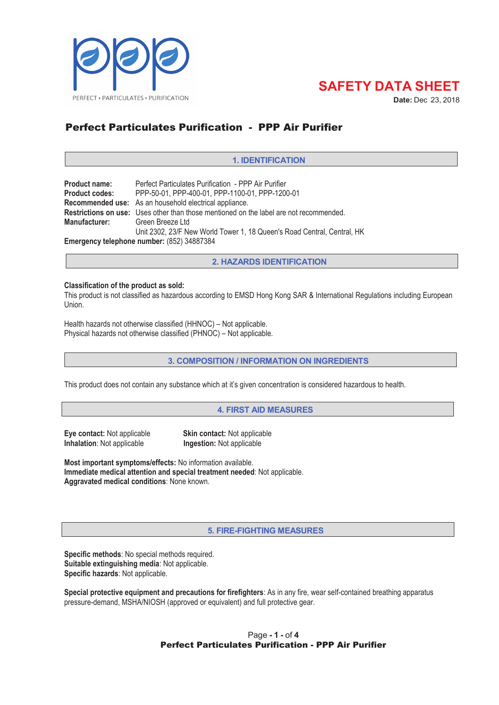



Date: Dec 23, 2018

# **Perfect Particulates Purification - PPP Air Purifier**

### **1. IDENTIFICATION**

| <b>Product name:</b>                       | Perfect Particulates Purification - PPP Air Purifier                                   |  |
|--------------------------------------------|----------------------------------------------------------------------------------------|--|
| <b>Product codes:</b>                      | PPP-50-01, PPP-400-01, PPP-1100-01, PPP-1200-01                                        |  |
|                                            | Recommended use: As an household electrical appliance.                                 |  |
|                                            | Restrictions on use: Uses other than those mentioned on the label are not recommended. |  |
| Manufacturer:                              | Green Breeze Ltd                                                                       |  |
|                                            | Unit 2302, 23/F New World Tower 1, 18 Queen's Road Central, Central, HK                |  |
| Emergency telephone number: (852) 34887384 |                                                                                        |  |

**2. HAZARDS IDENTIFICATION**

#### **Classification of the product as sold:**

This product is not classified as hazardous according to EMSD Hong Kong SAR & International Regulations including European Union.

Health hazards not otherwise classified (HHNOC) – Not applicable. Physical hazards not otherwise classified (PHNOC) – Not applicable.

**3. COMPOSITION / INFORMATION ON INGREDIENTS**

This product does not contain any substance which at it's given concentration is considered hazardous to health.

**4. FIRST AID MEASURES**

**Inhalation**: Not applicable **ingestion:** Not applicable

**Eye contact:** Not applicable **Skin contact:** Not applicable

**Most important symptoms/effects:** No information available. **Immediate medical attention and special treatment needed**: Not applicable. **Aggravated medical conditions**: None known.

**5. FIRE-FIGHTING MEASURES**

**Specific methods**: No special methods required. **Suitable extinguishing media**: Not applicable. **Specific hazards**: Not applicable.

**Special protective equipment and precautions for firefighters**: As in any fire, wear self-contained breathing apparatus pressure-demand, MSHA/NIOSH (approved or equivalent) and full protective gear.

## Page **-1-** of **4** Perfect Particulates Purification - PPP Air Purifier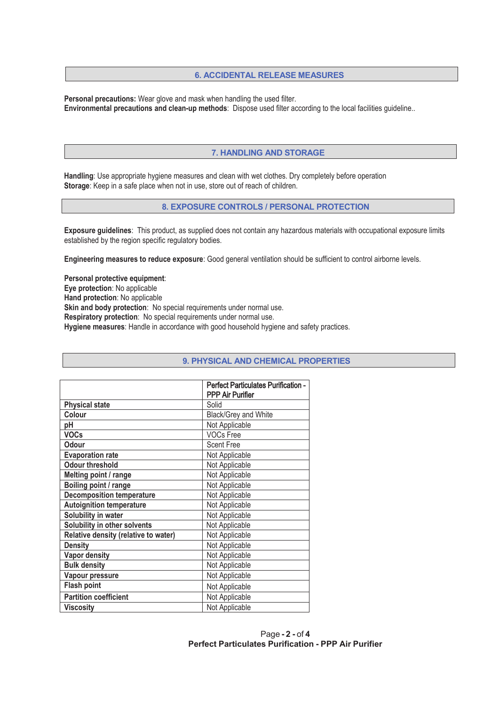#### **6. ACCIDENTAL RELEASE MEASURES**

**Personal precautions:** Wear glove and mask when handling the used filter. **Environmental precautions and clean-up methods**: Dispose used filter according to the local facilities quideline..

#### **7. HANDLING AND STORAGE**

**Handling**: Use appropriate hygiene measures and clean with wet clothes. Dry completely before operation **Storage:** Keep in a safe place when not in use, store out of reach of children.

#### **8. EXPOSURE CONTROLS / PERSONAL PROTECTION**

**Exposure guidelines**: This product, as supplied does not contain any hazardous materials with occupational exposure limits established by the region specific regulatory bodies.

**Engineering measures to reduce exposure**: Good general ventilation should be sufficient to control airborne levels.

**Personal protective equipment**: **Eye protection**: No applicable **Hand protection**: No applicable **Skin and body protection:** No special requirements under normal use. **Respiratory protection:** No special requirements under normal use. **Hygiene measures:** Handle in accordance with good household hygiene and safety practices.

|                                      | <b>Perfect Particulates Purification -</b><br><b>PPP Air Purifier</b> |
|--------------------------------------|-----------------------------------------------------------------------|
| <b>Physical state</b>                | Solid                                                                 |
| Colour                               | Black/Grey and White                                                  |
| рH                                   | Not Applicable                                                        |
| <b>VOCs</b>                          | <b>VOCs Free</b>                                                      |
| Odour                                | <b>Scent Free</b>                                                     |
| <b>Evaporation rate</b>              | Not Applicable                                                        |
| <b>Odour threshold</b>               | Not Applicable                                                        |
| Melting point / range                | Not Applicable                                                        |
| Boiling point / range                | Not Applicable                                                        |
| <b>Decomposition temperature</b>     | Not Applicable                                                        |
| <b>Autoignition temperature</b>      | Not Applicable                                                        |
| Solubility in water                  | Not Applicable                                                        |
| Solubility in other solvents         | Not Applicable                                                        |
| Relative density (relative to water) | Not Applicable                                                        |
| <b>Density</b>                       | Not Applicable                                                        |
| <b>Vapor density</b>                 | Not Applicable                                                        |
| <b>Bulk density</b>                  | Not Applicable                                                        |
| Vapour pressure                      | Not Applicable                                                        |
| <b>Flash point</b>                   | Not Applicable                                                        |
| <b>Partition coefficient</b>         | Not Applicable                                                        |
| <b>Viscosity</b>                     | Not Applicable                                                        |

#### **9. PHYSICAL AND CHEMICAL PROPERTIES**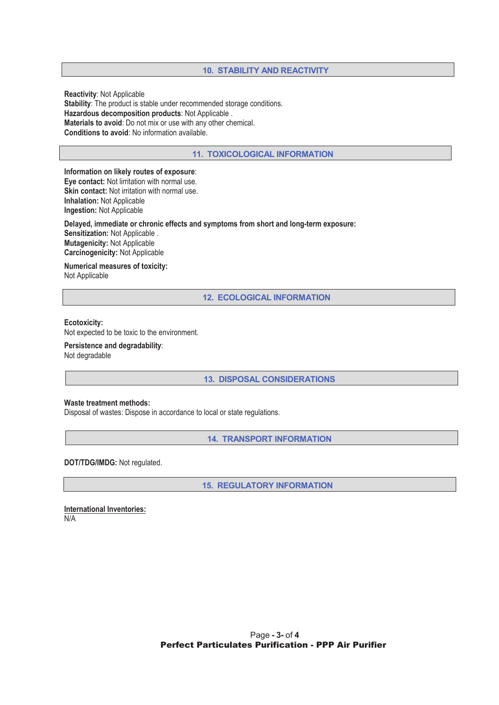#### **10. STABILITY AND REACTIVITY**

**Reactivity: Not Applicable Stability**: The product is stable under recommended storage conditions. **Hazardous decomposition products: Not Applicable. Materials to avoid:** Do not mix or use with any other chemical. **Conditions to avoid**: No information available.

#### **11. TOXICOLOGICAL INFORMATION**

**Information on likely routes of exposure**: **Eye contact:** Not lirritation with normal use. **Skin contact:** Not irritation with normal use. **Inhalation: Not Applicable Ingestion: Not Applicable** 

**Delayed, immediate or chronic effects and symptoms from short and long-term exposure: Sensitization:** Not Applicable . **Mutagenicity: Not Applicable Carcinogenicity:** Not Applicable

**Numerical measures of toxicity:**  Not Applicable

**12. ECOLOGICAL INFORMATION**

#### **Ecotoxicity:**

Not expected to be toxic to the environment.

**Persistence and degradability**: Not degradable

**13. DISPOSAL CONSIDERATIONS**

#### **Waste treatment methods:**

Disposal of wastes: Dispose in accordance to local or state regulations.

**14. TRANSPORT INFORMATION**

**DOT/TDG/IMDG:** Not regulated.

**15. REGULATORY INFORMATION**

**International Inventories:**   $N/A$